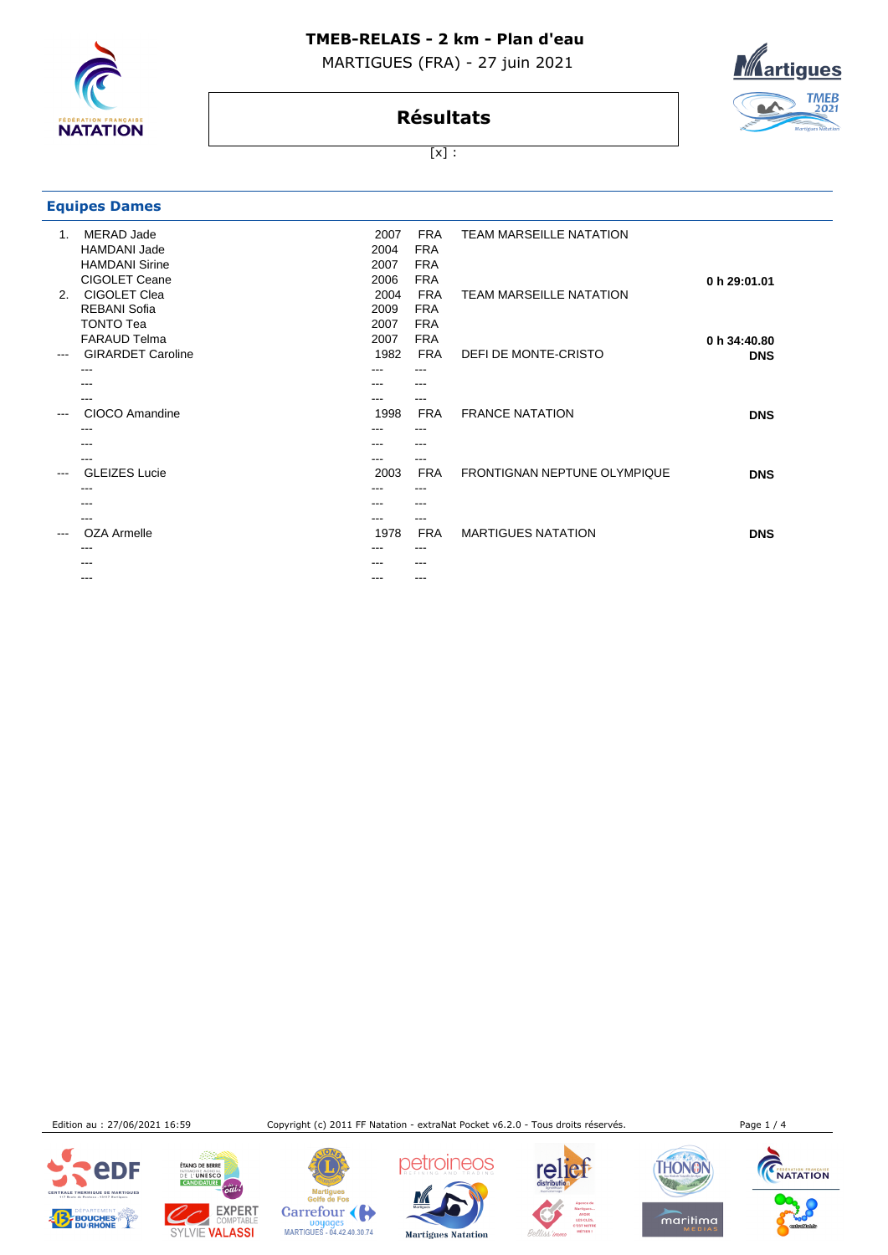#### **TMEB-RELAIS - 2 km - Plan d'eau**

MARTIGUES (FRA) - 27 juin 2021



**Equipes Dames**

# ∕<br><u>.artigues</u> **TMEB**<br>2021

## **Résultats**

 $[x]$  :

| $1_{\cdot}$ | MERAD Jade<br><b>HAMDANI Jade</b><br><b>HAMDANI Sirine</b> | 2007<br>2004<br>2007 | <b>FRA</b><br><b>FRA</b><br><b>FRA</b> | <b>TEAM MARSEILLE NATATION</b>      |              |
|-------------|------------------------------------------------------------|----------------------|----------------------------------------|-------------------------------------|--------------|
|             | CIGOLET Ceane                                              | 2006                 | <b>FRA</b>                             |                                     | 0 h 29:01.01 |
|             | 2. CIGOLET Clea                                            | 2004                 | <b>FRA</b>                             | <b>TEAM MARSEILLE NATATION</b>      |              |
|             | <b>REBANI Sofia</b>                                        | 2009                 | <b>FRA</b>                             |                                     |              |
|             | <b>TONTO Tea</b>                                           | 2007                 | <b>FRA</b>                             |                                     |              |
|             | <b>FARAUD Telma</b>                                        | 2007                 | <b>FRA</b>                             |                                     | 0 h 34:40.80 |
| $---$       | <b>GIRARDET Caroline</b>                                   | 1982                 | <b>FRA</b>                             | DEFI DE MONTE-CRISTO                | <b>DNS</b>   |
|             | ---                                                        | ---                  | ---                                    |                                     |              |
|             | ---                                                        | ---                  | ---                                    |                                     |              |
|             | ---                                                        | ---                  | ---                                    |                                     |              |
| $--$        | CIOCO Amandine                                             | 1998                 | <b>FRA</b>                             | <b>FRANCE NATATION</b>              | <b>DNS</b>   |
|             | $---$                                                      | ---                  | ---                                    |                                     |              |
|             | ---                                                        | ---                  |                                        |                                     |              |
|             | ---                                                        | ---<br>2003          | ---                                    |                                     |              |
| $--$        | <b>GLEIZES Lucie</b><br>$- - -$                            | ---                  | FRA                                    | <b>FRONTIGNAN NEPTUNE OLYMPIQUE</b> | <b>DNS</b>   |
|             | ---                                                        | ---                  | ---                                    |                                     |              |
|             | ---                                                        | ---                  | ---                                    |                                     |              |
|             | <b>OZA Armelle</b>                                         | 1978                 | <b>FRA</b>                             | <b>MARTIGUES NATATION</b>           | <b>DNS</b>   |
|             | ---                                                        | ---                  | ---                                    |                                     |              |
|             |                                                            | ---                  |                                        |                                     |              |
|             |                                                            |                      |                                        |                                     |              |
|             |                                                            |                      |                                        |                                     |              |

Edition au : 27/06/2021 16:59 Copyright (c) 2011 FF Natation - extraNat Pocket v6.2.0 - Tous droits réservés. Page 1 / 4





Martigues<br>Golfe de Fos Carrefour Doyages<br>MARTIGUES - 04.42.40.30.74







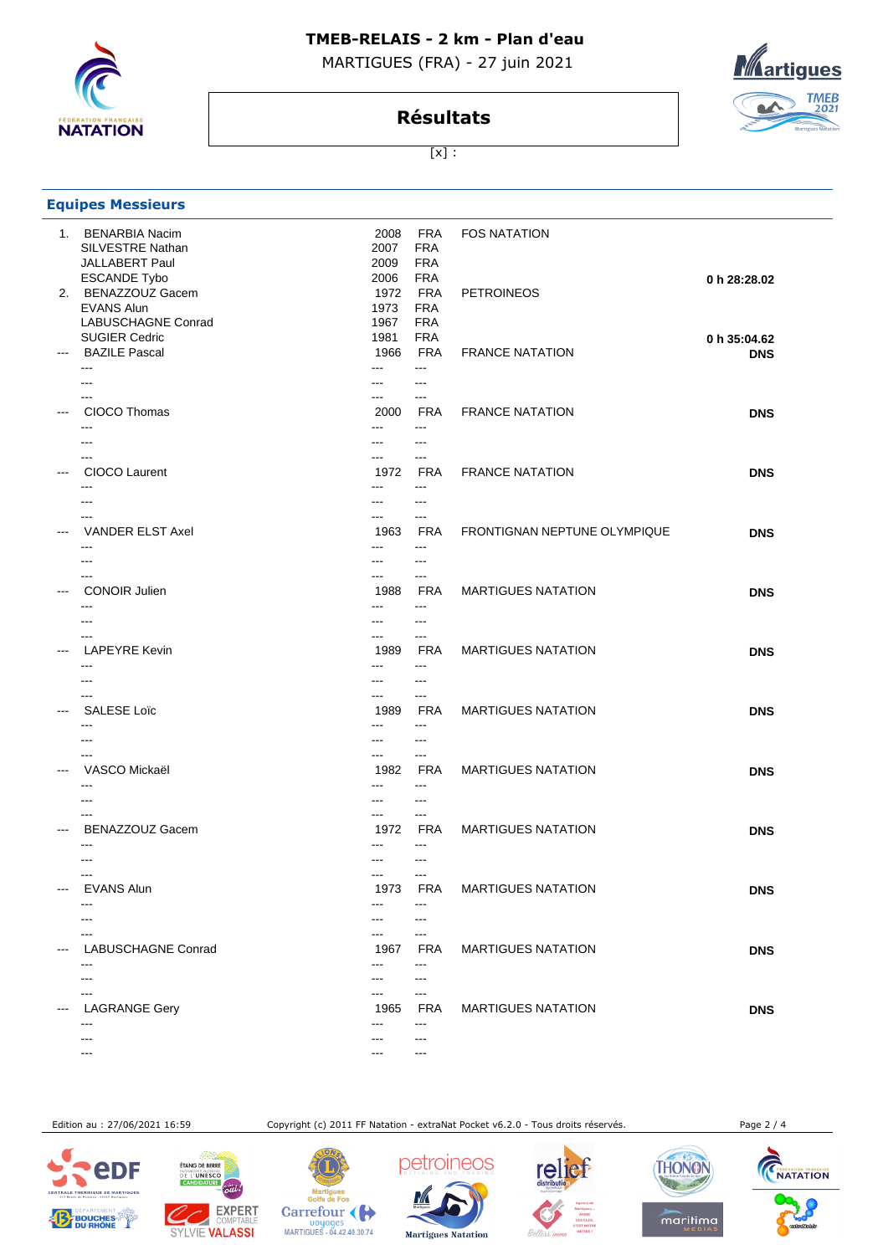#### **TMEB-RELAIS - 2 km - Plan d'eau**

MARTIGUES (FRA) - 27 juin 2021



**Equipes Messieurs**

## <u>artigues</u> **TMEB**<br>2021

#### **Résultats**

 $[x]$  :

|                      | 1. BENARBIA Nacim         | 2008                   | <b>FRA</b>     | <b>FOS NATATION</b>          |              |
|----------------------|---------------------------|------------------------|----------------|------------------------------|--------------|
|                      | SILVESTRE Nathan          | 2007                   | <b>FRA</b>     |                              |              |
|                      | <b>JALLABERT Paul</b>     | 2009                   | <b>FRA</b>     |                              |              |
|                      | <b>ESCANDE Tybo</b>       | 2006                   | FRA            |                              | 0 h 28:28.02 |
|                      | 2. BENAZZOUZ Gacem        | 1972                   | <b>FRA</b>     | <b>PETROINEOS</b>            |              |
|                      | <b>EVANS Alun</b>         | 1973                   | <b>FRA</b>     |                              |              |
|                      | LABUSCHAGNE Conrad        | 1967                   | <b>FRA</b>     |                              |              |
|                      | <b>SUGIER Cedric</b>      | 1981                   | <b>FRA</b>     |                              | 0 h 35:04.62 |
| $\sim$ $\sim$ $\sim$ | <b>BAZILE Pascal</b>      | 1966                   | <b>FRA</b>     | <b>FRANCE NATATION</b>       |              |
|                      |                           |                        |                |                              | <b>DNS</b>   |
|                      | ---                       | $---$                  | $\sim$ $\sim$  |                              |              |
|                      | ---                       | ---                    | ---            |                              |              |
|                      | $---$                     | $---$                  | ---            |                              |              |
| $--$                 | CIOCO Thomas              | 2000                   | <b>FRA</b>     | <b>FRANCE NATATION</b>       | <b>DNS</b>   |
|                      | ---                       | ---                    | ---            |                              |              |
|                      | $---$                     | $\qquad \qquad -$      | ---            |                              |              |
|                      | ---                       | ---                    | ---            |                              |              |
|                      | CIOCO Laurent             | 1972                   | FRA            | <b>FRANCE NATATION</b>       | <b>DNS</b>   |
|                      | $---$                     | $\overline{a}$         | $\overline{a}$ |                              |              |
|                      | ---                       | ---                    | ---            |                              |              |
|                      | $---$                     | $---$                  | $---$          |                              |              |
|                      | <b>VANDER ELST Axel</b>   | 1963                   | FRA            | FRONTIGNAN NEPTUNE OLYMPIQUE |              |
|                      |                           |                        |                |                              | <b>DNS</b>   |
|                      | ---                       | $\overline{a}$         | $---$          |                              |              |
|                      | $---$                     | $---$                  | $---$          |                              |              |
|                      | $---$                     | $---$                  | $\overline{a}$ |                              |              |
| $---$                | <b>CONOIR Julien</b>      | 1988                   | <b>FRA</b>     | <b>MARTIGUES NATATION</b>    | <b>DNS</b>   |
|                      | ---                       | $\qquad \qquad -$      | ---            |                              |              |
|                      | $---$                     | $\cdots$               | ---            |                              |              |
|                      | ---                       | ---                    | ---            |                              |              |
|                      | <b>LAPEYRE Kevin</b>      | 1989                   | <b>FRA</b>     | <b>MARTIGUES NATATION</b>    | <b>DNS</b>   |
|                      | $---$                     | $---$                  | ---            |                              |              |
|                      | ---                       | $- - -$                | ---            |                              |              |
|                      | ---                       | $\qquad \qquad -$      | ---            |                              |              |
|                      | SALESE Loïc               | 1989                   | FRA            | <b>MARTIGUES NATATION</b>    | <b>DNS</b>   |
|                      | $---$                     | ---                    | ---            |                              |              |
|                      | $---$                     | $---$                  | $---$          |                              |              |
|                      |                           |                        |                |                              |              |
|                      | $---$                     | $\overline{a}$         | $\overline{a}$ |                              |              |
| $---$                | VASCO Mickaël             | 1982                   | <b>FRA</b>     | <b>MARTIGUES NATATION</b>    | <b>DNS</b>   |
|                      | $---$                     | ---                    | $\sim$ $\sim$  |                              |              |
|                      | $---$                     | $---$                  | $---$          |                              |              |
|                      | $--$                      | ---                    | ---            |                              |              |
|                      | BENAZZOUZ Gacem           | 1972                   | <b>FRA</b>     | <b>MARTIGUES NATATION</b>    | <b>DNS</b>   |
|                      | ---                       | $\frac{1}{2}$          | ---            |                              |              |
|                      | ---                       | $\cdots$               | ---            |                              |              |
|                      | ---                       | $\qquad \qquad \cdots$ | ---            |                              |              |
| ---                  | <b>EVANS Alun</b>         | 1973                   | FRA            | <b>MARTIGUES NATATION</b>    | <b>DNS</b>   |
|                      |                           | ---                    | ---            |                              |              |
|                      | ---                       | ---                    | ---            |                              |              |
|                      | ---                       | ---                    | ---            |                              |              |
|                      |                           |                        |                |                              |              |
| ---                  | <b>LABUSCHAGNE Conrad</b> | 1967                   | <b>FRA</b>     | <b>MARTIGUES NATATION</b>    | <b>DNS</b>   |
|                      |                           | ---                    | ---            |                              |              |
|                      | ---                       | ---                    | ---            |                              |              |
|                      | ---                       | ---                    | ---            |                              |              |
| $---$                | <b>LAGRANGE Gery</b>      | 1965                   | <b>FRA</b>     | <b>MARTIGUES NATATION</b>    | <b>DNS</b>   |
|                      | ---                       | $---$                  | ---            |                              |              |
|                      | ---                       | ---                    | ---            |                              |              |
|                      |                           |                        | ---            |                              |              |
|                      |                           |                        |                |                              |              |

Edition au : 27/06/2021 16:59 Copyright (c) 2011 FF Natation - extraNat Pocket v6.2.0 - Tous droits réservés. Page 2 / 4











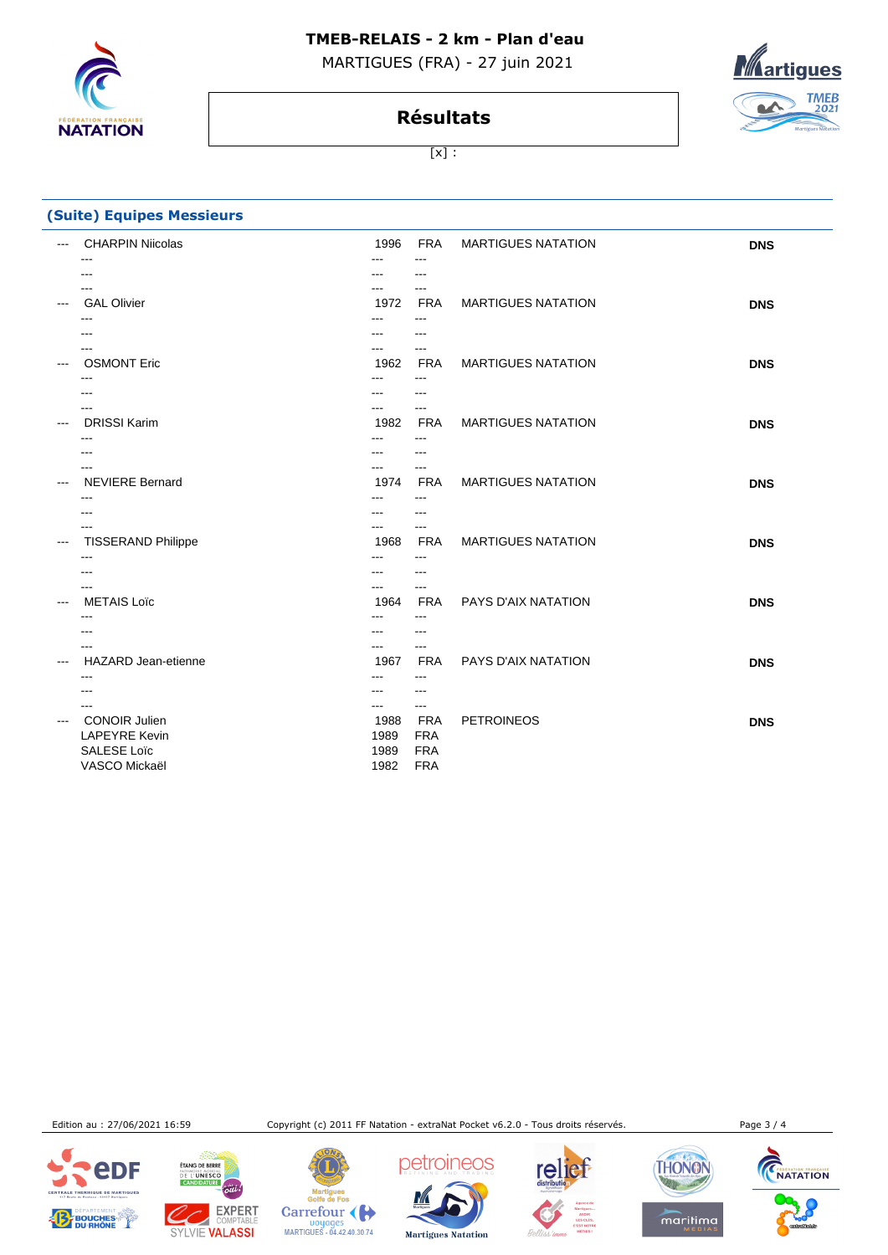

MARTIGUES (FRA) - 27 juin 2021



**(Suite) Equipes Messieurs**



### **Résultats**

 $[x]$  :

| $\qquad \qquad \cdots$ | <b>CHARPIN Niicolas</b>   | 1996         | <b>FRA</b>               | <b>MARTIGUES NATATION</b> | <b>DNS</b> |
|------------------------|---------------------------|--------------|--------------------------|---------------------------|------------|
|                        | $---$                     | ---          | ---                      |                           |            |
|                        | ---                       | ---          |                          |                           |            |
|                        | ---                       | ---          | ---                      |                           |            |
| $\qquad \qquad -$      | <b>GAL Olivier</b>        | 1972         | <b>FRA</b>               | <b>MARTIGUES NATATION</b> | <b>DNS</b> |
|                        | $---$                     | ---          | $---$                    |                           |            |
|                        | ---                       | ---          | ---                      |                           |            |
|                        | ---                       | ---          | ---                      |                           |            |
|                        | <b>OSMONT Eric</b>        | 1962         | <b>FRA</b>               | <b>MARTIGUES NATATION</b> | <b>DNS</b> |
|                        | ---                       | ---          | ---                      |                           |            |
|                        |                           | ---          |                          |                           |            |
|                        |                           | ---          | ---                      |                           |            |
| ---                    | <b>DRISSI Karim</b>       | 1982         | <b>FRA</b>               | <b>MARTIGUES NATATION</b> | <b>DNS</b> |
|                        | ---                       | ---          | ---                      |                           |            |
|                        |                           | ---          |                          |                           |            |
|                        |                           | ---          | ---                      |                           |            |
|                        | <b>NEVIERE Bernard</b>    | 1974         | <b>FRA</b>               | <b>MARTIGUES NATATION</b> | <b>DNS</b> |
|                        | $- - -$                   | ---          | ---                      |                           |            |
|                        |                           | ---          | ---                      |                           |            |
|                        | $---$                     | ---          | ---                      |                           |            |
| $\qquad \qquad -$      | <b>TISSERAND Philippe</b> | 1968         | <b>FRA</b>               | <b>MARTIGUES NATATION</b> | <b>DNS</b> |
|                        |                           | ---          | ---                      |                           |            |
|                        |                           | ---          |                          |                           |            |
|                        | ---                       | ---          | ---                      |                           |            |
| $\qquad \qquad -$      | <b>METAIS Loïc</b>        | 1964         | <b>FRA</b>               | PAYS D'AIX NATATION       | <b>DNS</b> |
|                        | $---$                     | ---          | ---                      |                           |            |
|                        |                           | ---          | ---                      |                           |            |
|                        |                           | ---          | ---                      |                           |            |
|                        | HAZARD Jean-etienne       | 1967         | <b>FRA</b>               | PAYS D'AIX NATATION       | <b>DNS</b> |
|                        |                           | ---          | ---                      |                           |            |
|                        | $- - -$                   | ---          | $---$                    |                           |            |
|                        | <b>CONOIR Julien</b>      | ---<br>1988  | ---                      | <b>PETROINEOS</b>         |            |
| $\frac{1}{2}$          | <b>LAPEYRE Kevin</b>      |              | <b>FRA</b><br><b>FRA</b> |                           | <b>DNS</b> |
|                        | SALESE Loïc               | 1989<br>1989 | <b>FRA</b>               |                           |            |
|                        | VASCO Mickaël             | 1982         | <b>FRA</b>               |                           |            |
|                        |                           |              |                          |                           |            |

Edition au : 27/06/2021 16:59 Copyright (c) 2011 FF Natation - extraNat Pocket v6.2.0 - Tous droits réservés. Page 3 / 4